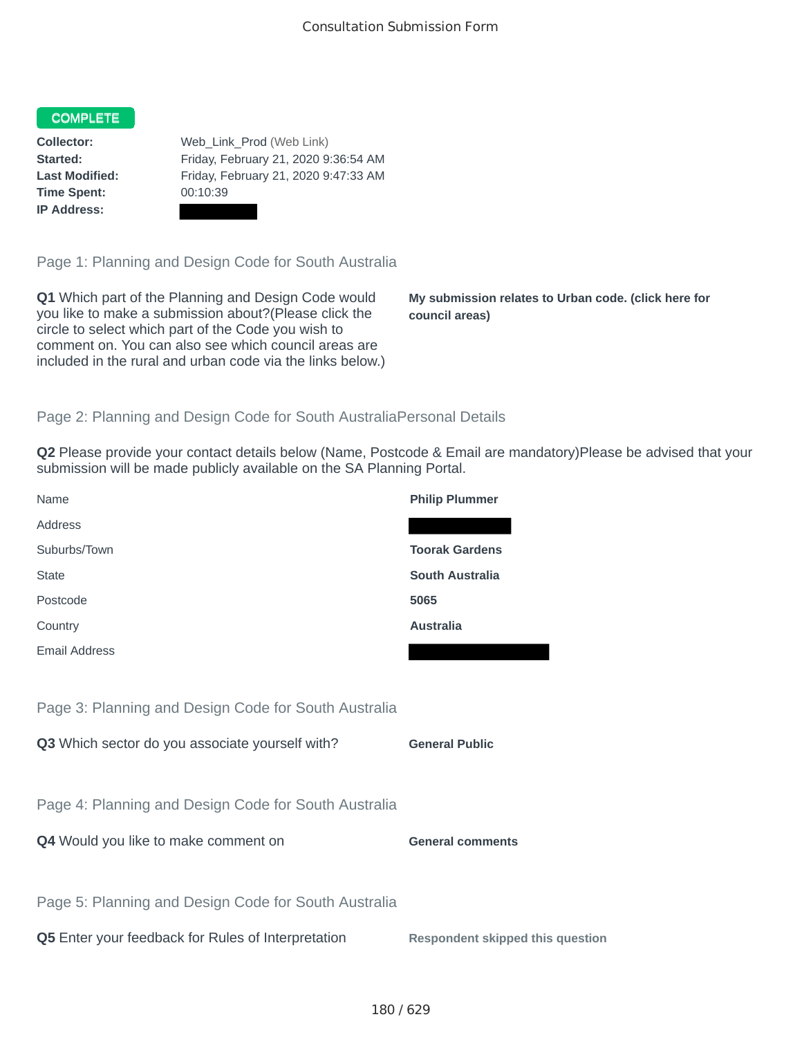#### COMPLETE

**Time Spent:** 00:10:39 **IP Address:**

**Collector:** Web\_Link\_Prod (Web Link) **Started:** Friday, February 21, 2020 9:36:54 AM **Last Modified:** Friday, February 21, 2020 9:47:33 AM

Page 1: Planning and Design Code for South Australia

**Q1** Which part of the Planning and Design Code would you like to make a submission about?(Please click the circle to select which part of the Code you wish to comment on. You can also see which council areas are included in the rural and urban code via the links below.)

**My submission relates to Urban code. (click here for council areas)**

## Page 2: Planning and Design Code for South AustraliaPersonal Details

**Q2** Please provide your contact details below (Name, Postcode & Email are mandatory)Please be advised that your submission will be made publicly available on the SA Planning Portal.

| Name                                                 | <b>Philip Plummer</b>                   |
|------------------------------------------------------|-----------------------------------------|
| Address                                              |                                         |
| Suburbs/Town                                         | <b>Toorak Gardens</b>                   |
| <b>State</b>                                         | <b>South Australia</b>                  |
| Postcode                                             | 5065                                    |
| Country                                              | <b>Australia</b>                        |
| Email Address                                        |                                         |
|                                                      |                                         |
| Page 3: Planning and Design Code for South Australia |                                         |
| Q3 Which sector do you associate yourself with?      | <b>General Public</b>                   |
|                                                      |                                         |
| Page 4: Planning and Design Code for South Australia |                                         |
| Q4 Would you like to make comment on                 | <b>General comments</b>                 |
|                                                      |                                         |
| Page 5: Planning and Design Code for South Australia |                                         |
| Q5 Enter your feedback for Rules of Interpretation   | <b>Respondent skipped this question</b> |
|                                                      |                                         |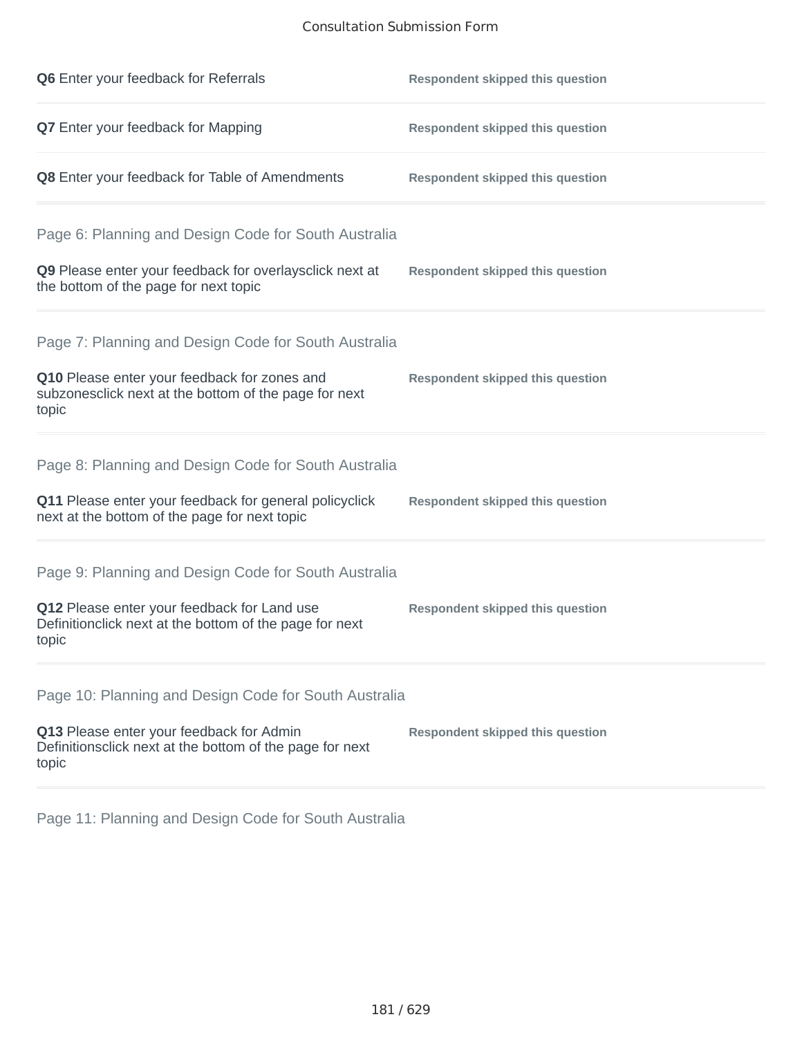#### Consultation Submission Form

| Q6 Enter your feedback for Referrals                                                                            | <b>Respondent skipped this question</b> |
|-----------------------------------------------------------------------------------------------------------------|-----------------------------------------|
| Q7 Enter your feedback for Mapping                                                                              | <b>Respondent skipped this question</b> |
| Q8 Enter your feedback for Table of Amendments                                                                  | <b>Respondent skipped this question</b> |
| Page 6: Planning and Design Code for South Australia                                                            |                                         |
| Q9 Please enter your feedback for overlaysclick next at<br>the bottom of the page for next topic                | <b>Respondent skipped this question</b> |
| Page 7: Planning and Design Code for South Australia                                                            |                                         |
| Q10 Please enter your feedback for zones and<br>subzonesclick next at the bottom of the page for next<br>topic  | <b>Respondent skipped this question</b> |
| Page 8: Planning and Design Code for South Australia                                                            |                                         |
| Q11 Please enter your feedback for general policyclick<br>next at the bottom of the page for next topic         | <b>Respondent skipped this question</b> |
| Page 9: Planning and Design Code for South Australia                                                            |                                         |
| Q12 Please enter your feedback for Land use<br>Definitionclick next at the bottom of the page for next<br>topic | <b>Respondent skipped this question</b> |
| Page 10: Planning and Design Code for South Australia                                                           |                                         |
| Q13 Please enter your feedback for Admin<br>Definitionsclick next at the bottom of the page for next<br>topic   | <b>Respondent skipped this question</b> |

Page 11: Planning and Design Code for South Australia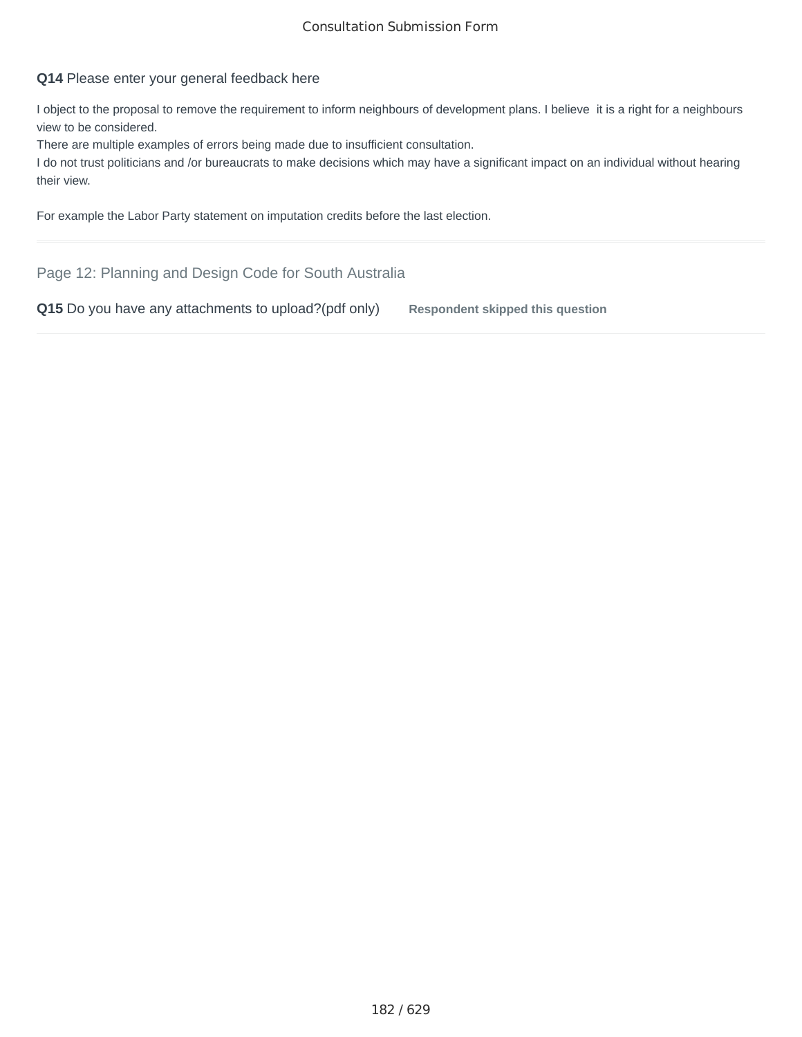# **Q14** Please enter your general feedback here

I object to the proposal to remove the requirement to inform neighbours of development plans. I believe it is a right for a neighbours view to be considered.

There are multiple examples of errors being made due to insufficient consultation.

I do not trust politicians and /or bureaucrats to make decisions which may have a significant impact on an individual without hearing their view.

For example the Labor Party statement on imputation credits before the last election.

Page 12: Planning and Design Code for South Australia

**Q15** Do you have any attachments to upload?(pdf only) Respondent skipped this question